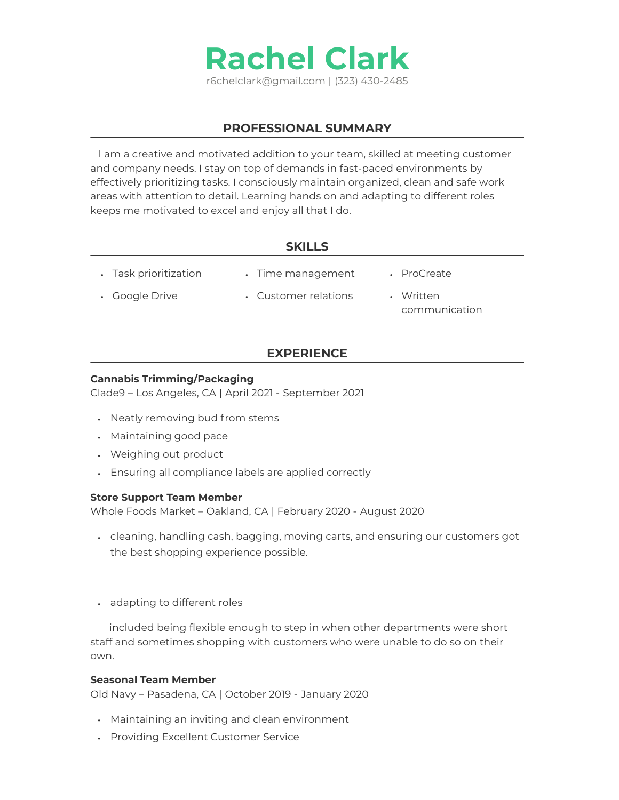

## **PROFESSIONAL SUMMARY**

 I am a creative and motivated addition to your team, skilled at meeting customer and company needs. I stay on top of demands in fast-paced environments by effectively prioritizing tasks. I consciously maintain organized, clean and safe work areas with attention to detail. Learning hands on and adapting to different roles keeps me motivated to excel and enjoy all that I do.

## **SKILLS**

| • Task prioritization | • Time management    | • ProCreate                |
|-----------------------|----------------------|----------------------------|
| • Google Drive        | • Customer relations | • Written<br>communication |

# **EXPERIENCE**

#### **Cannabis Trimming/Packaging**

Clade9 – Los Angeles, CA | April 2021 - September 2021

- Neatly removing bud from stems
- Maintaining good pace
- Weighing out product
- Ensuring all compliance labels are applied correctly

### **Store Support Team Member**

Whole Foods Market – Oakland, CA | February 2020 - August 2020

- $\,\cdot\,\,$  cleaning, handling cash, bagging, moving carts, and ensuring our customers got the best shopping experience possible.
- adapting to different roles

 included being flexible enough to step in when other departments were short staff and sometimes shopping with customers who were unable to do so on their own.

#### **Seasonal Team Member**

Old Navy – Pasadena, CA | October 2019 - January 2020

- Maintaining an inviting and clean environment
- Providing Excellent Customer Service